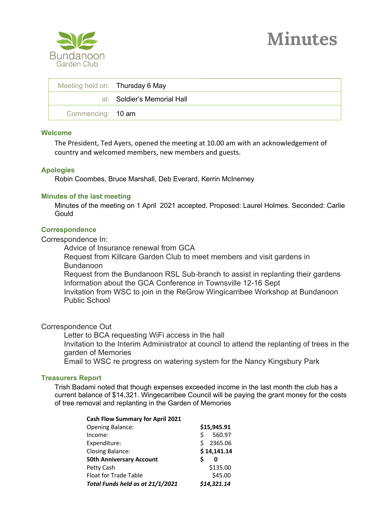

| Meeting held on: Thursday 6 May |                             |
|---------------------------------|-----------------------------|
|                                 | at: Soldier's Memorial Hall |
| Commencing: 10 am               |                             |

#### **Welcome**

The President, Ted Ayers, opened the meeting at 10.00 am with an acknowledgement of country and welcomed members, new members and guests.

## **Apologies**

Robin Coombes, Bruce Marshall, Deb Everard, Kerrin McInerney

# **Minutes of the last meeting**

Minutes of the meeting on 1 April 2021 accepted. Proposed: Laurel Holmes. Seconded: Carlie **Gould** 

## **Correspondence**

Correspondence In:

Advice of Insurance renewal from GCA

Request from Killcare Garden Club to meet members and visit gardens in Bundanoon

Request from the Bundanoon RSL Sub-branch to assist in replanting their gardens Information about the GCA Conference in Townsville 12-16 Sept Invitation from WSC to join in the ReGrow Wingicarribee Workshop at Bundanoon Public School

# Correspondence Out

Letter to BCA requesting WiFi access in the hall Invitation to the Interim Administrator at council to attend the replanting of trees in the garden of Memories

Email to WSC re progress on watering system for the Nancy Kingsbury Park

## **Treasurers Report**

Trish Badami noted that though expenses exceeded income in the last month the club has a current balance of \$14,321. Wingecarribee Council will be paying the grant money for the costs of tree removal and replanting in the Garden of Memories

| <b>Cash Flow Summary for April 2021</b> |             |             |
|-----------------------------------------|-------------|-------------|
| <b>Opening Balance:</b>                 | \$15,945.91 |             |
| Income:                                 | ς           | 560.97      |
| Expenditure:                            | Ś           | 2365.06     |
| <b>Closing Balance:</b>                 | \$14,141.14 |             |
| <b>50th Anniversary Account</b>         |             | 0           |
| Petty Cash                              |             | \$135.00    |
| Float for Trade Table                   |             | \$45.00     |
| Total Funds held as at 21/1/2021        |             | \$14,321.14 |